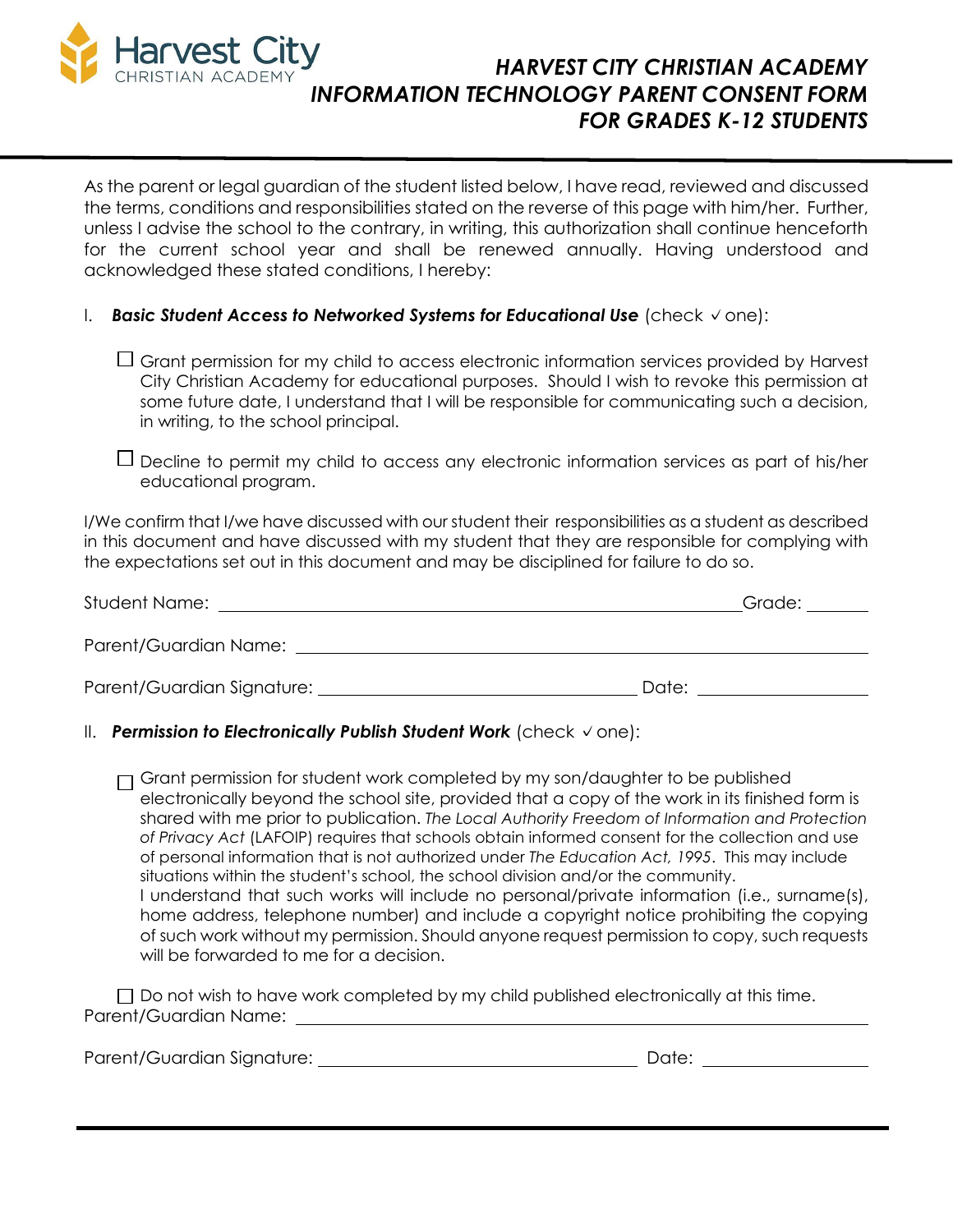

# *HARVEST CITY CHRISTIAN ACADEMY INFORMATION TECHNOLOGY PARENT CONSENT FORM FOR GRADES K-12 STUDENTS*

As the parent or legal guardian of the student listed below, I have read, reviewed and discussed the terms, conditions and responsibilities stated on the reverse of this page with him/her. Further, unless I advise the school to the contrary, in writing, this authorization shall continue henceforth for the current school year and shall be renewed annually. Having understood and acknowledged these stated conditions, I hereby:

## I. *Basic Student Access to Networked Systems for Educational Use* (check ✓one):

- $\Box$  Grant permission for my child to access electronic information services provided by Harvest City Christian Academy for educational purposes. Should I wish to revoke this permission at some future date, I understand that I will be responsible for communicating such a decision, in writing, to the school principal.
- $\Box$  Decline to permit my child to access any electronic information services as part of his/her educational program.

I/We confirm that I/we have discussed with our student their responsibilities as a student as described in this document and have discussed with my student that they are responsible for complying with the expectations set out in this document and may be disciplined for failure to do so.

| Student Name:                | Grade: ______ |
|------------------------------|---------------|
| Parent/Guardian Name:        |               |
| Parent/Guardian Signature: _ | Date:         |

# II. *Permission to Electronically Publish Student Work* (check ✓one):

 $\Box$  Grant permission for student work completed by my son/daughter to be published electronically beyond the school site, provided that a copy of the work in its finished form is shared with me prior to publication. *The Local Authority Freedom of Information and Protection of Privacy Act* (LAFOIP) requires that schools obtain informed consent for the collection and use of personal information that is not authorized under *The Education Act, 1995*. This may include situations within the student's school, the school division and/or the community. I understand that such works will include no personal/private information (i.e., surname(s), home address, telephone number) and include a copyright notice prohibiting the copying of such work without my permission. Should anyone request permission to copy, such requests will be forwarded to me for a decision.

 $\Box$  Do not wish to have work completed by my child published electronically at this time. Parent/Guardian Name:

Parent/Guardian Signature: Date: